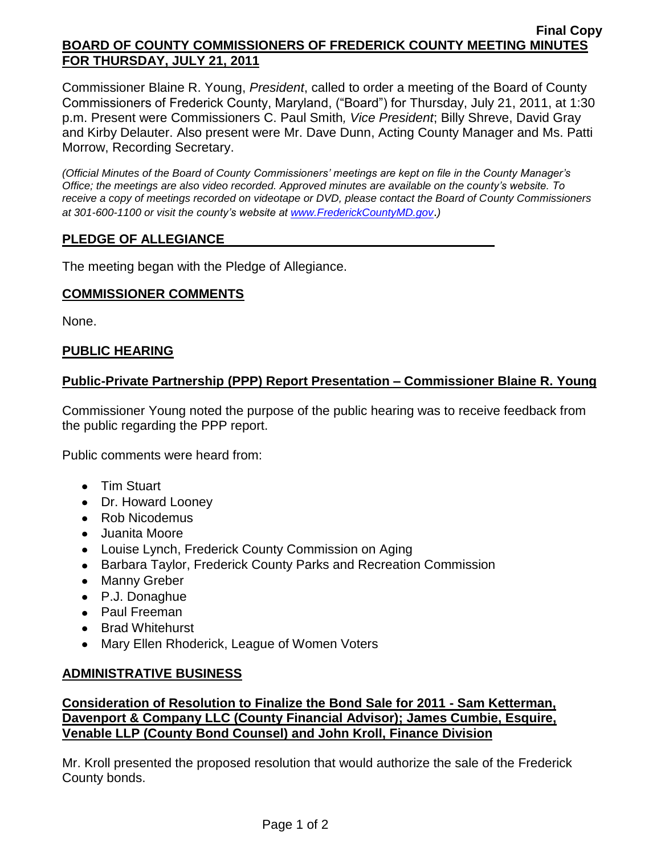### **Final Copy BOARD OF COUNTY COMMISSIONERS OF FREDERICK COUNTY MEETING MINUTES FOR THURSDAY, JULY 21, 2011**

Commissioner Blaine R. Young, *President*, called to order a meeting of the Board of County Commissioners of Frederick County, Maryland, ("Board") for Thursday, July 21, 2011, at 1:30 p.m. Present were Commissioners C. Paul Smith*, Vice President*; Billy Shreve, David Gray and Kirby Delauter. Also present were Mr. Dave Dunn, Acting County Manager and Ms. Patti Morrow, Recording Secretary.

*(Official Minutes of the Board of County Commissioners' meetings are kept on file in the County Manager's Office; the meetings are also video recorded. Approved minutes are available on the county's website. To receive a copy of meetings recorded on videotape or DVD, please contact the Board of County Commissioners at 301-600-1100 or visit the county's website at [www.FrederickCountyMD.gov](http://www.frederickcountymd.gov/)*.*)*

# **PLEDGE OF ALLEGIANCE**

The meeting began with the Pledge of Allegiance.

## **COMMISSIONER COMMENTS**

None.

# **PUBLIC HEARING**

## **Public-Private Partnership (PPP) Report Presentation – Commissioner Blaine R. Young**

Commissioner Young noted the purpose of the public hearing was to receive feedback from the public regarding the PPP report.

Public comments were heard from:

- Tim Stuart
- Dr. Howard Looney
- Rob Nicodemus
- Juanita Moore
- Louise Lynch, Frederick County Commission on Aging
- Barbara Taylor, Frederick County Parks and Recreation Commission
- Manny Greber
- P.J. Donaghue
- Paul Freeman
- Brad Whitehurst
- Mary Ellen Rhoderick, League of Women Voters

## **ADMINISTRATIVE BUSINESS**

# **Consideration of Resolution to Finalize the Bond Sale for 2011 - Sam Ketterman, Davenport & Company LLC (County Financial Advisor); James Cumbie, Esquire, Venable LLP (County Bond Counsel) and John Kroll, Finance Division**

Mr. Kroll presented the proposed resolution that would authorize the sale of the Frederick County bonds.